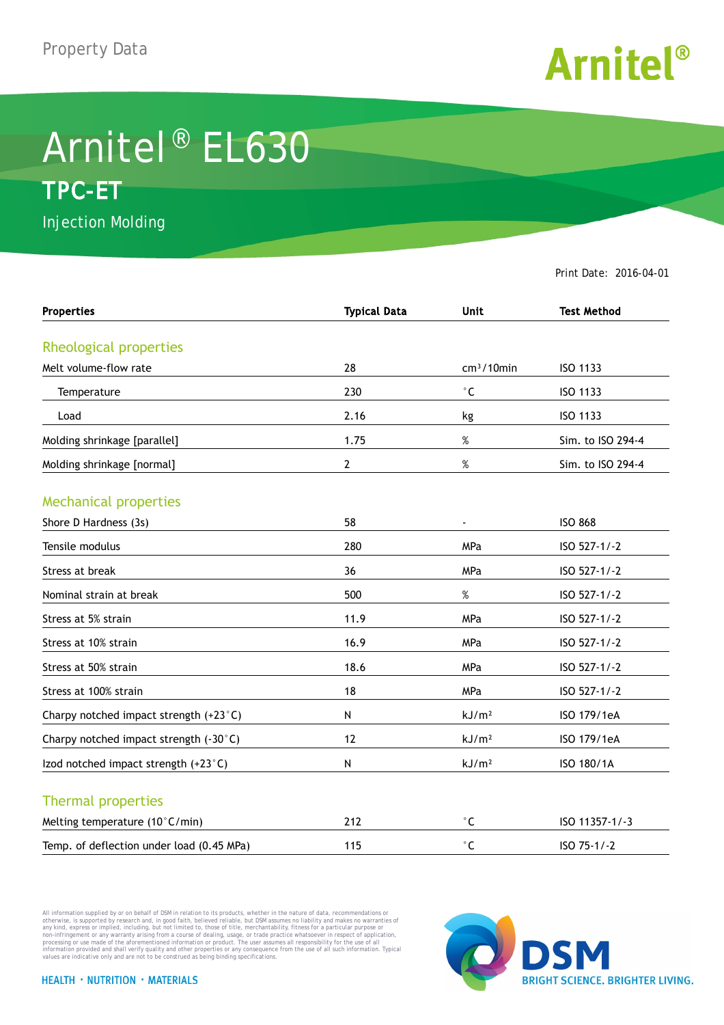

## Arnitel® EL630 **TPC-ET**

Injection Molding

Print Date: 2016-04-01

| <b>Properties</b>                         | <b>Typical Data</b> | <b>Unit</b>       | <b>Test Method</b> |
|-------------------------------------------|---------------------|-------------------|--------------------|
|                                           |                     |                   |                    |
| Rheological properties                    |                     |                   |                    |
| Melt volume-flow rate                     | 28                  | $cm3/10$ min      | ISO 1133           |
| Temperature                               | 230                 | $^\circ$ C        | ISO 1133           |
| Load                                      | 2.16                | kg                | ISO 1133           |
| Molding shrinkage [parallel]              | 1.75                | $\%$              | Sim. to ISO 294-4  |
| Molding shrinkage [normal]                | 2                   | $\%$              | Sim. to ISO 294-4  |
| <b>Mechanical properties</b>              |                     |                   |                    |
| Shore D Hardness (3s)                     | 58                  | $\blacksquare$    | <b>ISO 868</b>     |
| Tensile modulus                           | 280                 | MPa               | ISO 527-1/-2       |
| Stress at break                           | 36                  | MPa               | ISO 527-1/-2       |
| Nominal strain at break                   | 500                 | $\%$              | ISO 527-1/-2       |
| Stress at 5% strain                       | 11.9                | <b>MPa</b>        | ISO 527-1/-2       |
| Stress at 10% strain                      | 16.9                | <b>MPa</b>        | ISO 527-1/-2       |
| Stress at 50% strain                      | 18.6                | MPa               | ISO 527-1/-2       |
| Stress at 100% strain                     | 18                  | MPa               | ISO 527-1/-2       |
| Charpy notched impact strength (+23°C)    | N                   | kJ/m <sup>2</sup> | ISO 179/1eA        |
| Charpy notched impact strength (-30°C)    | 12                  | kJ/m <sup>2</sup> | ISO 179/1eA        |
| Izod notched impact strength (+23°C)      | N                   | kJ/m <sup>2</sup> | ISO 180/1A         |
| <b>Thermal properties</b>                 |                     |                   |                    |
| Melting temperature (10°C/min)            | 212                 | $^\circ$ C        | ISO 11357-1/-3     |
| Temp. of deflection under load (0.45 MPa) | 115                 | $^{\circ}$ C      | ISO 75-1/-2        |

All information supplied by or on behalf of DSM in relation to its products, whether in the nature of data, recommendations or others in the matter of the order or the matter of the commendations or others in any kind, exp